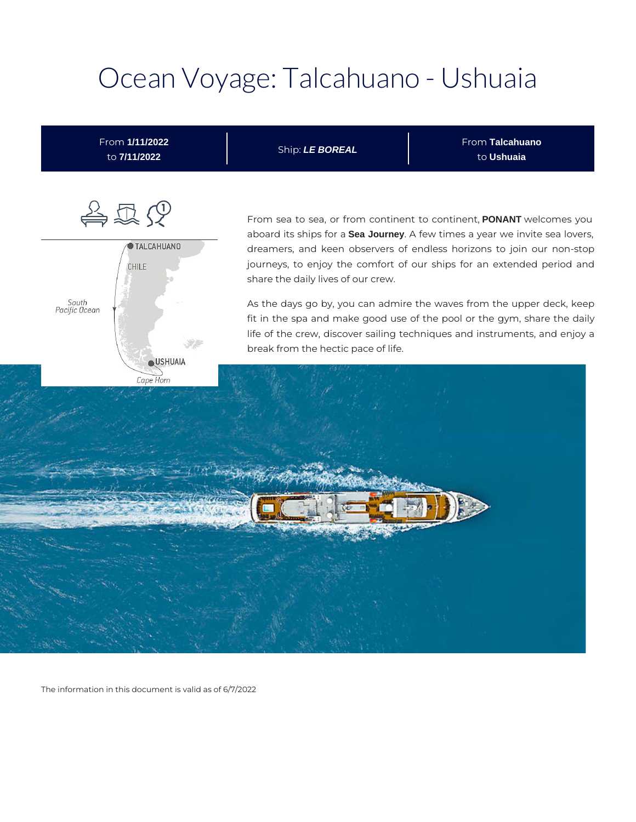# Ocean Voyage: Talcahuano - Ushuaia



The information in this document is valid as of 6/7/2022